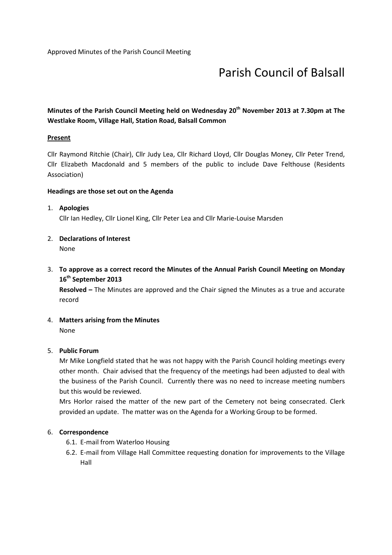# Parish Council of Balsall

# Minutes of the Parish Council Meeting held on Wednesday 20<sup>th</sup> November 2013 at 7.30pm at The Westlake Room, Village Hall, Station Road, Balsall Common

## **Present**

Cllr Raymond Ritchie (Chair), Cllr Judy Lea, Cllr Richard Lloyd, Cllr Douglas Money, Cllr Peter Trend, Cllr Elizabeth Macdonald and 5 members of the public to include Dave Felthouse (Residents Association)

## Headings are those set out on the Agenda

## 1. Apologies

Cllr Ian Hedley, Cllr Lionel King, Cllr Peter Lea and Cllr Marie-Louise Marsden

## 2. Declarations of Interest

None

3. To approve as a correct record the Minutes of the Annual Parish Council Meeting on Monday 16<sup>th</sup> September 2013

Resolved – The Minutes are approved and the Chair signed the Minutes as a true and accurate record

4. Matters arising from the Minutes None

## 5. Public Forum

Mr Mike Longfield stated that he was not happy with the Parish Council holding meetings every other month. Chair advised that the frequency of the meetings had been adjusted to deal with the business of the Parish Council. Currently there was no need to increase meeting numbers but this would be reviewed.

Mrs Horlor raised the matter of the new part of the Cemetery not being consecrated. Clerk provided an update. The matter was on the Agenda for a Working Group to be formed.

## 6. Correspondence

- 6.1. E-mail from Waterloo Housing
- 6.2. E-mail from Village Hall Committee requesting donation for improvements to the Village Hall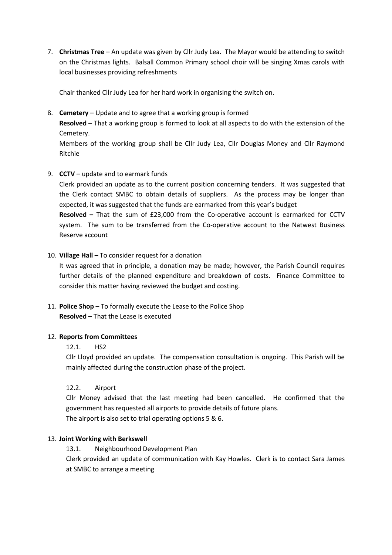7. Christmas Tree – An update was given by Cllr Judy Lea. The Mayor would be attending to switch on the Christmas lights. Balsall Common Primary school choir will be singing Xmas carols with local businesses providing refreshments

Chair thanked Cllr Judy Lea for her hard work in organising the switch on.

8. Cemetery – Update and to agree that a working group is formed

Resolved – That a working group is formed to look at all aspects to do with the extension of the Cemetery.

Members of the working group shall be Cllr Judy Lea, Cllr Douglas Money and Cllr Raymond Ritchie

## 9. CCTV – update and to earmark funds

Clerk provided an update as to the current position concerning tenders. It was suggested that the Clerk contact SMBC to obtain details of suppliers. As the process may be longer than expected, it was suggested that the funds are earmarked from this year's budget Resolved – That the sum of £23,000 from the Co-operative account is earmarked for CCTV

system. The sum to be transferred from the Co-operative account to the Natwest Business Reserve account

## 10. Village Hall – To consider request for a donation

It was agreed that in principle, a donation may be made; however, the Parish Council requires further details of the planned expenditure and breakdown of costs. Finance Committee to consider this matter having reviewed the budget and costing.

11. Police Shop – To formally execute the Lease to the Police Shop Resolved – That the Lease is executed

## 12. Reports from Committees

## 12.1. HS2

Cllr Lloyd provided an update. The compensation consultation is ongoing. This Parish will be mainly affected during the construction phase of the project.

## 12.2. Airport

Cllr Money advised that the last meeting had been cancelled. He confirmed that the government has requested all airports to provide details of future plans. The airport is also set to trial operating options 5 & 6.

## 13. Joint Working with Berkswell

13.1. Neighbourhood Development Plan

Clerk provided an update of communication with Kay Howles. Clerk is to contact Sara James at SMBC to arrange a meeting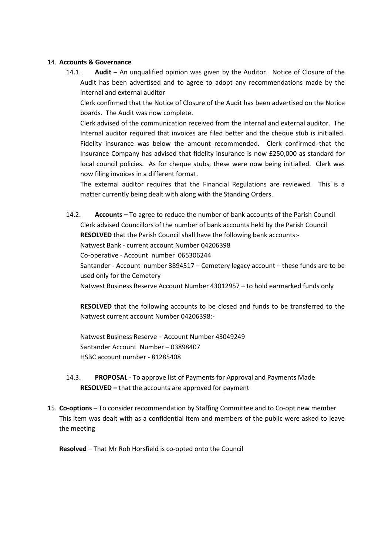#### 14. Accounts & Governance

14.1. Audit – An unqualified opinion was given by the Auditor. Notice of Closure of the Audit has been advertised and to agree to adopt any recommendations made by the internal and external auditor

Clerk confirmed that the Notice of Closure of the Audit has been advertised on the Notice boards. The Audit was now complete.

Clerk advised of the communication received from the Internal and external auditor. The Internal auditor required that invoices are filed better and the cheque stub is initialled. Fidelity insurance was below the amount recommended. Clerk confirmed that the Insurance Company has advised that fidelity insurance is now £250,000 as standard for local council policies. As for cheque stubs, these were now being initialled. Clerk was now filing invoices in a different format.

The external auditor requires that the Financial Regulations are reviewed. This is a matter currently being dealt with along with the Standing Orders.

14.2. Accounts – To agree to reduce the number of bank accounts of the Parish Council Clerk advised Councillors of the number of bank accounts held by the Parish Council RESOLVED that the Parish Council shall have the following bank accounts:- Natwest Bank - current account Number 04206398 Co-operative - Account number 065306244 Santander - Account number 3894517 – Cemetery legacy account – these funds are to be used only for the Cemetery Natwest Business Reserve Account Number 43012957 – to hold earmarked funds only

RESOLVED that the following accounts to be closed and funds to be transferred to the Natwest current account Number 04206398:-

Natwest Business Reserve – Account Number 43049249 Santander Account Number – 03898407 HSBC account number - 81285408

- 14.3. PROPOSAL To approve list of Payments for Approval and Payments Made RESOLVED – that the accounts are approved for payment
- 15. Co-options To consider recommendation by Staffing Committee and to Co-opt new member This item was dealt with as a confidential item and members of the public were asked to leave the meeting

Resolved – That Mr Rob Horsfield is co-opted onto the Council